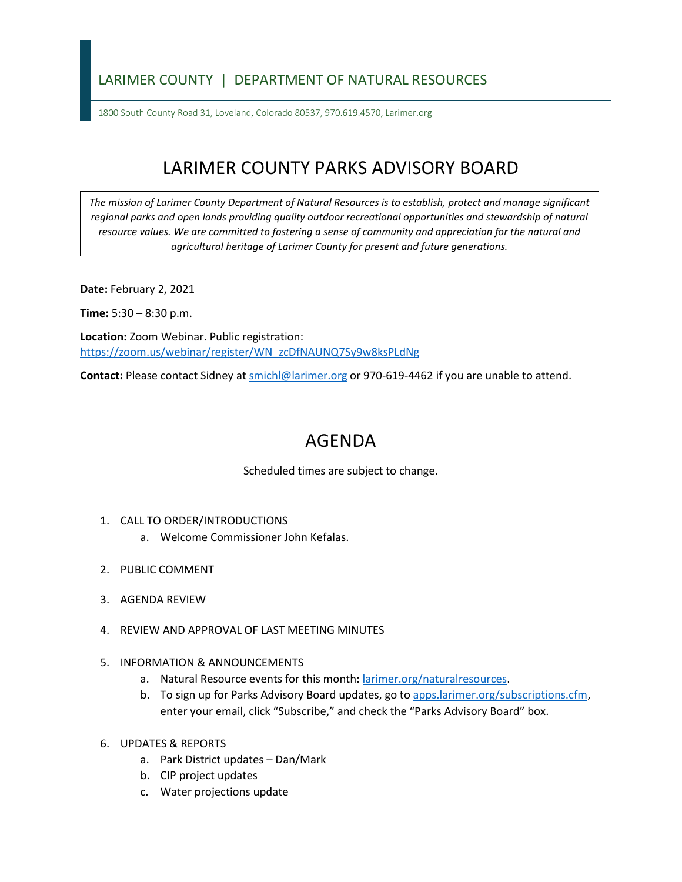## LARIMER COUNTY | DEPARTMENT OF NATURAL RESOURCES

1800 South County Road 31, Loveland, Colorado 80537, 970.619.4570, Larimer.org

## LARIMER COUNTY PARKS ADVISORY BOARD

*The mission of Larimer County Department of Natural Resources is to establish, protect and manage significant*  regional parks and open lands providing quality outdoor recreational opportunities and stewardship of natural *resource values. We are committed to fostering a sense of community and appreciation for the natural and agricultural heritage of Larimer County for present and future generations.*

**Date:** February 2, 2021

**Time:** 5:30 – 8:30 p.m.

**Location:** Zoom Webinar. Public registration: [https://zoom.us/webinar/register/WN\\_zcDfNAUNQ7Sy9w8ksPLdNg](https://zoom.us/webinar/register/WN_zcDfNAUNQ7Sy9w8ksPLdNg)

**Contact:** Please contact Sidney a[t smichl@larimer.org](mailto:smichl@larimer.org) or 970-619-4462 if you are unable to attend.

## AGENDA

Scheduled times are subject to change.

- 1. CALL TO ORDER/INTRODUCTIONS
	- a. Welcome Commissioner John Kefalas.
- 2. PUBLIC COMMENT
- 3. AGENDA REVIEW
- 4. REVIEW AND APPROVAL OF LAST MEETING MINUTES
- 5. INFORMATION & ANNOUNCEMENTS
	- a. Natural Resource events for this month: [larimer.org/naturalresources.](file://lc.gov/dept/p&ol/1%20-%20Natural%20Resources%20Central/Parks%20Advisory%20Board/Agendas,%20Handouts%20&%20Packets/2021%20Meetings/PAB%2002.02.21/Agenda/larimer.org/naturalresources)
	- b. To sign up for Parks Advisory Board updates, go to [apps.larimer.org/subscriptions.cfm,](file://lc.gov/dept/p&ol/1%20-%20Natural%20Resources%20Central/Parks%20Advisory%20Board/Agendas,%20Handouts%20&%20Packets/2021%20Meetings/PAB%2002.02.21/Agenda/apps.larimer.org/subscriptions.cfm) enter your email, click "Subscribe," and check the "Parks Advisory Board" box.
- 6. UPDATES & REPORTS
	- a. Park District updates Dan/Mark
	- b. CIP project updates
	- c. Water projections update